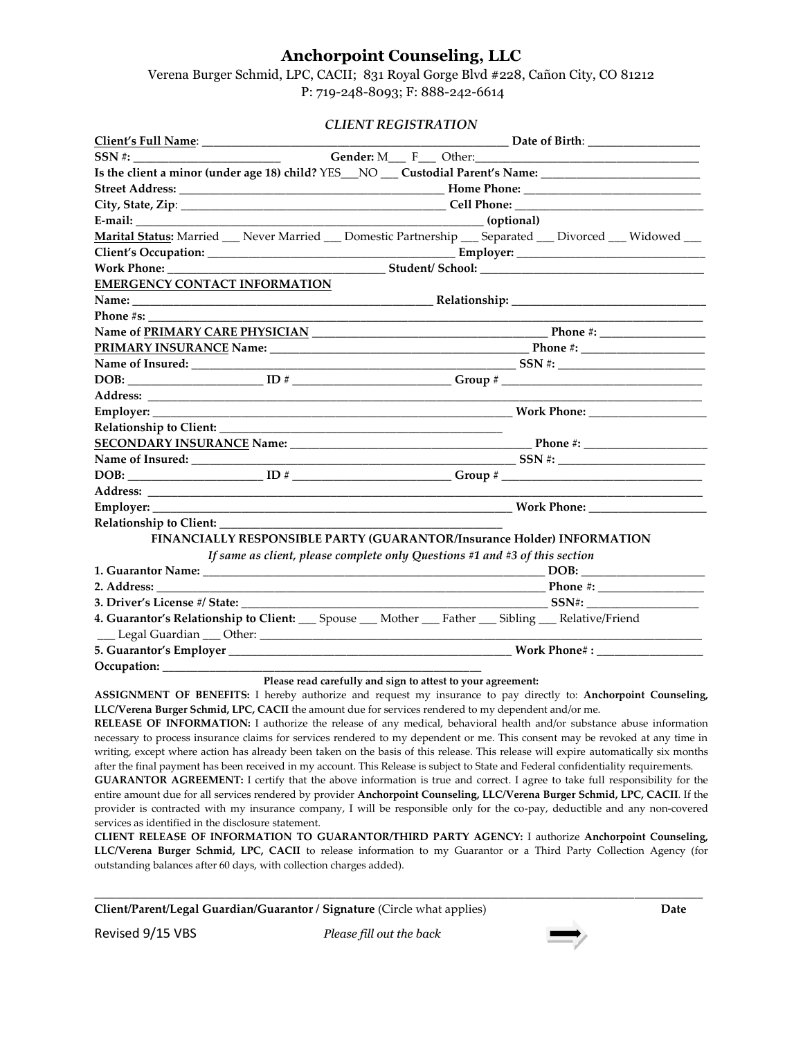## **Anchorpoint Counseling, LLC**

Verena Burger Schmid, LPC, CACII; 831 Royal Gorge Blvd #228, Cañon City, CO 81212 P: 719-248-8093; F: 888-242-6614

## *CLIENT REGISTRATION*

|                                      | Is the client a minor (under age 18) child? YES__NO ___ Custodial Parent's Name: ___________________    |  |  |
|--------------------------------------|---------------------------------------------------------------------------------------------------------|--|--|
|                                      |                                                                                                         |  |  |
|                                      |                                                                                                         |  |  |
|                                      |                                                                                                         |  |  |
|                                      | Marital Status: Married __ Never Married __ Domestic Partnership __ Separated __ Divorced __ Widowed __ |  |  |
|                                      |                                                                                                         |  |  |
|                                      | Work Phone: Student/ School: Student & Student School:                                                  |  |  |
| <b>EMERGENCY CONTACT INFORMATION</b> |                                                                                                         |  |  |
|                                      |                                                                                                         |  |  |
| <b>Phone #s:</b>                     |                                                                                                         |  |  |
|                                      |                                                                                                         |  |  |
|                                      |                                                                                                         |  |  |
|                                      |                                                                                                         |  |  |
|                                      |                                                                                                         |  |  |
|                                      |                                                                                                         |  |  |
|                                      |                                                                                                         |  |  |
|                                      |                                                                                                         |  |  |
|                                      |                                                                                                         |  |  |
|                                      |                                                                                                         |  |  |
|                                      |                                                                                                         |  |  |
|                                      |                                                                                                         |  |  |
|                                      |                                                                                                         |  |  |
|                                      |                                                                                                         |  |  |
|                                      | FINANCIALLY RESPONSIBLE PARTY (GUARANTOR/Insurance Holder) INFORMATION                                  |  |  |
|                                      | If same as client, please complete only Questions #1 and #3 of this section                             |  |  |
|                                      |                                                                                                         |  |  |
|                                      |                                                                                                         |  |  |
|                                      |                                                                                                         |  |  |
|                                      | 4. Guarantor's Relationship to Client: Spouse __ Mother __ Father __ Sibling __ Relative/Friend         |  |  |
|                                      |                                                                                                         |  |  |
|                                      |                                                                                                         |  |  |
|                                      |                                                                                                         |  |  |
|                                      | Please read carefully and sign to attest to your agreement:                                             |  |  |

**ASSIGNMENT OF BENEFITS:** I hereby authorize and request my insurance to pay directly to: **Anchorpoint Counseling, LLC/Verena Burger Schmid, LPC, CACII** the amount due for services rendered to my dependent and/or me.

**RELEASE OF INFORMATION:** I authorize the release of any medical, behavioral health and/or substance abuse information necessary to process insurance claims for services rendered to my dependent or me. This consent may be revoked at any time in writing, except where action has already been taken on the basis of this release. This release will expire automatically six months after the final payment has been received in my account. This Release is subject to State and Federal confidentiality requirements.

**GUARANTOR AGREEMENT:** I certify that the above information is true and correct. I agree to take full responsibility for the entire amount due for all services rendered by provider **Anchorpoint Counseling, LLC/Verena Burger Schmid, LPC, CACII**. If the provider is contracted with my insurance company, I will be responsible only for the co-pay, deductible and any non-covered services as identified in the disclosure statement.

**CLIENT RELEASE OF INFORMATION TO GUARANTOR/THIRD PARTY AGENCY:** I authorize **Anchorpoint Counseling, LLC/Verena Burger Schmid, LPC, CACII** to release information to my Guarantor or a Third Party Collection Agency (for outstanding balances after 60 days, with collection charges added).

\_\_\_\_\_\_\_\_\_\_\_\_\_\_\_\_\_\_\_\_\_\_\_\_\_\_\_\_\_\_\_\_\_\_\_\_\_\_\_\_\_\_\_\_\_\_\_\_\_\_\_\_\_\_\_\_\_\_\_\_\_\_\_\_\_\_\_\_\_\_\_\_\_\_\_\_\_\_\_\_\_\_\_\_\_\_\_\_\_\_\_\_\_\_\_\_\_\_\_\_\_\_\_\_\_\_\_\_\_\_\_\_\_\_\_\_

Revised 9/15 VBS *Please fill out the back*